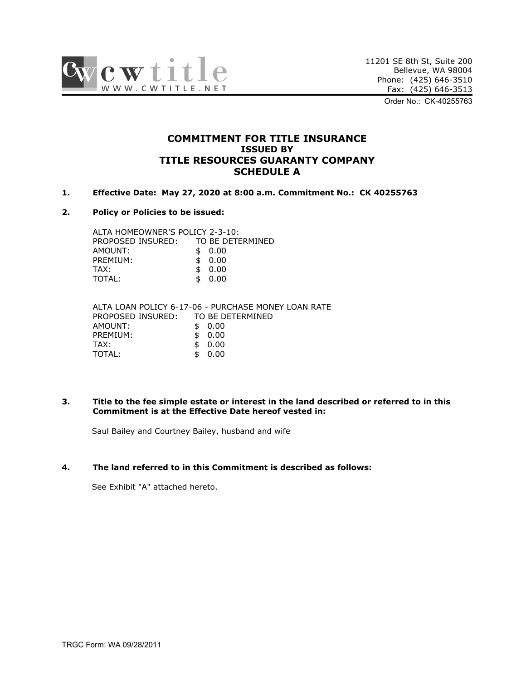

Order No.: CK-40255763

# **COMMITMENT FOR TITLE INSURANCE ISSUED BY TITLE RESOURCES GUARANTY COMPANY SCHEDULE A**

### **1. Effective Date: May 27, 2020 at 8:00 a.m. Commitment No.: CK 40255763**

### **2. Policy or Policies to be issued:**

ALTA HOMEOWNER'S POLICY 2-3-10: PROPOSED INSURED: TO BE DETERMINED AMOUNT:  $\begin{array}{cccc} \text{4.00} & \text{5.00} \\ \text{4.00} & \text{4.00} \\ \text{4.00} & \text{4.00} \\ \text{5.00} & \text{5.00} \end{array}$ PREMIUM: TAX: \$ 0.00 TOTAL: \$ 0.00

ALTA LOAN POLICY 6-17-06 - PURCHASE MONEY LOAN RATE PROPOSED INSURED: TO BE DETERMINED AMOUNT: \$ 0.00 PREMIUM: \$ 0.00 TAX: \$ 0.00 TOTAL: \$ 0.00

### **3. Title to the fee simple estate or interest in the land described or referred to in this Commitment is at the Effective Date hereof vested in:**

Saul Bailey and Courtney Bailey, husband and wife

### **4. The land referred to in this Commitment is described as follows:**

See Exhibit "A" attached hereto.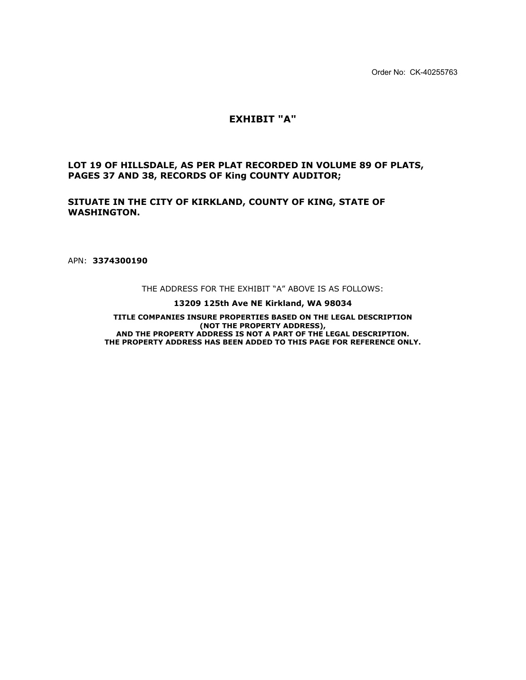Order No: CK-40255763

# **EXHIBIT "A"**

### **LOT 19 OF HILLSDALE, AS PER PLAT RECORDED IN VOLUME 89 OF PLATS, PAGES 37 AND 38, RECORDS OF King COUNTY AUDITOR;**

### **SITUATE IN THE CITY OF KIRKLAND, COUNTY OF KING, STATE OF WASHINGTON.**

APN: **3374300190**

THE ADDRESS FOR THE EXHIBIT "A" ABOVE IS AS FOLLOWS:

#### **13209 125th Ave NE Kirkland, WA 98034**

**TITLE COMPANIES INSURE PROPERTIES BASED ON THE LEGAL DESCRIPTION (NOT THE PROPERTY ADDRESS), AND THE PROPERTY ADDRESS IS NOT A PART OF THE LEGAL DESCRIPTION. THE PROPERTY ADDRESS HAS BEEN ADDED TO THIS PAGE FOR REFERENCE ONLY.**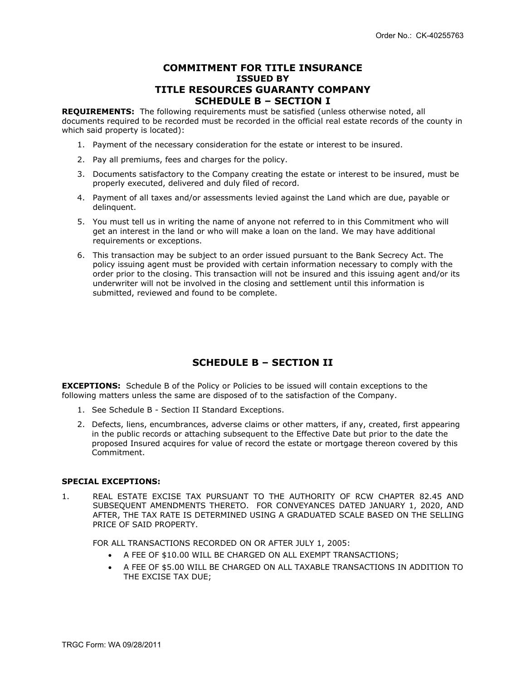# **COMMITMENT FOR TITLE INSURANCE ISSUED BY TITLE RESOURCES GUARANTY COMPANY SCHEDULE B – SECTION I**

**REQUIREMENTS:** The following requirements must be satisfied (unless otherwise noted, all documents required to be recorded must be recorded in the official real estate records of the county in which said property is located):

- 1. Payment of the necessary consideration for the estate or interest to be insured.
- 2. Pay all premiums, fees and charges for the policy.
- 3. Documents satisfactory to the Company creating the estate or interest to be insured, must be properly executed, delivered and duly filed of record.
- 4. Payment of all taxes and/or assessments levied against the Land which are due, payable or delinquent.
- 5. You must tell us in writing the name of anyone not referred to in this Commitment who will get an interest in the land or who will make a loan on the land. We may have additional requirements or exceptions.
- 6. This transaction may be subject to an order issued pursuant to the Bank Secrecy Act. The policy issuing agent must be provided with certain information necessary to comply with the order prior to the closing. This transaction will not be insured and this issuing agent and/or its underwriter will not be involved in the closing and settlement until this information is submitted, reviewed and found to be complete.

# **SCHEDULE B – SECTION II**

**EXCEPTIONS:** Schedule B of the Policy or Policies to be issued will contain exceptions to the following matters unless the same are disposed of to the satisfaction of the Company.

- 1. See Schedule B Section II Standard Exceptions.
- 2. Defects, liens, encumbrances, adverse claims or other matters, if any, created, first appearing in the public records or attaching subsequent to the Effective Date but prior to the date the proposed Insured acquires for value of record the estate or mortgage thereon covered by this Commitment.

#### **SPECIAL EXCEPTIONS:**

1. REAL ESTATE EXCISE TAX PURSUANT TO THE AUTHORITY OF RCW CHAPTER 82.45 AND SUBSEQUENT AMENDMENTS THERETO. FOR CONVEYANCES DATED JANUARY 1, 2020, AND AFTER, THE TAX RATE IS DETERMINED USING A GRADUATED SCALE BASED ON THE SELLING PRICE OF SAID PROPERTY.

FOR ALL TRANSACTIONS RECORDED ON OR AFTER JULY 1, 2005:

- A FEE OF \$10.00 WILL BE CHARGED ON ALL EXEMPT TRANSACTIONS;
- A FEE OF \$5.00 WILL BE CHARGED ON ALL TAXABLE TRANSACTIONS IN ADDITION TO THE EXCISE TAX DUE;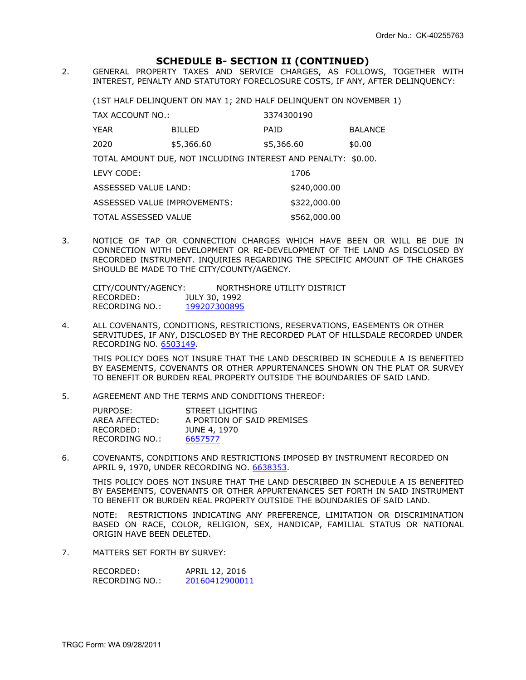$\begin{array}{lllllllll} \mathsf{H} & \mathsf{I} & \mathsf{I} & \mathsf{I} & \mathsf{I} & \mathsf{I} & \mathsf{I} \\ \mathsf{H} & \mathsf{I} & \mathsf{I} & \mathsf{I} & \mathsf{I} & \mathsf{I} & \mathsf{I} & \mathsf{I} & \mathsf{I} & \mathsf{I} & \mathsf{I} \\ \mathsf{H} & \mathsf{I} & \mathsf{I} & \mathsf{I} & \mathsf{I} & \mathsf{I} & \mathsf{I} & \mathsf{I} & \mathsf{I} & \mathsf{I} & \mathsf{I} & \mathsf{I}$ 0 # \$ " - "\*'F. '# %' & , I '-\$ " - "\*'F. '# %' '% > & ( # 1 + + %,  $'$  #  $'$  % 0  $\overline{2}$  $\star$  and  $\sim$  $\star$  - $\cdots$ , (  $\sqrt{0}$  $\sqrt{0}$  $/$  0 # % # " & %.'#. '% # \*'+".-\*'H\*'# ( # '- ' "#, / 0 0 "  $>$ , +% - $\overline{2}$  $\mathbb{E}\left[\mathbf{S}^{(n)}\right]_{n=1}^{n}=\mathbb{E}\left[\mathbf{S}^{(n)}\right]_{n=1}^{n}$  $\sqrt{ }$  $\Omega$  $\sqrt{2}$  $-$  > ". \*& (% > & '#  $\Omega$ # % # "  $\rightarrow$   $\rightarrow$   $\degree$ .  $\sqrt{ }$  $\mathbf 0$ 

 $1\%$ #\*+ % # %(+%''+#\*%'+\$(H \$\*+\$ \$ > ' %( \*"" -. \*'<br>+%''+#\*%'\*#\$ - > "% & '# %(( - > "% & '# % #\$ "'- -\* +"% - ,  $\mathbf 0$ ( + % (- - \*' # (.& '# 0 \*' F . \* ( \* ) ( H ) (- \*' H # \$ + \* \* + & % .' # % # \$ + \$ ) ( H  $$\%$ ."- & - #%#\$ + \* #, C + %. ' #, C H ' +, 0

+ \* #, C + % . ' #, C H ' +, ' % ( # \$ \$ % ( . # \* " \* #, - \* # ( \* + # ( \* + # ( \* + +  $\frac{1}{2}$  + % ( - - G . ",  $( +\% ( -^{\ast} 'H ' \% 0)$  $\overline{2}$ 

"" + % > ' ' # + % ' - \* # \* % ' ( # ( \* + # \* % ' ( ( > # \* % ' & % ( % # \$ (<br>
( > \* # . - \* ', - \* + " % - , # \$ ( + % ( - - " # \$ \* " - " ( + % ( - - . ' - (<br>
( + % ( - \* ' H ' % <u>0</u> 0  $\overline{0}$ 

#%'\*#%( .(-'( " (% (#, %.# \*-#\$ %.'-(\* % \*-"'-0

H (  $\frac{1}{2}$  & ' $\frac{1}{2}$  ' -  $\frac{1}{2}$  \$  $\frac{1}{2}$  + ( & ' - + % ' - \*  $\frac{1}{2}$  \* % '  $\frac{1}{2}$  \$ ( %  $\mathbf 0$ 

| . (%                   | # $($ # " $*$ H \$ # $*$ ' H |
|------------------------|------------------------------|
| +# -                   | %(#*%'%<br>* - ( &           |
| ( + % ( - -            | $G'$ , 2                     |
| $(+\% (+^* + H^0)\% 0$ | 22                           |

+ % > ' ' # + % ' - \* # \* % ' ' - ( + + ( \* + + \* % ' \* & % - , \* ' + ( . & ' + ( + % (- - % ' ( \* " - ( + % (- \* ' H ' % <u>0</u> 0  $\Omega$ 

# %  $*$  # % ( (- ' ( " (% (#, % # \*- #\$ % '- (\* % \*- "'-0

 $1\%$ # ( #(\*+#\*%' \*'-\*+ #\*'H ', ( ('+ "\*&\*# #\*%%(-\* +(\*&\*' #\*%'<br>- %' ( + +%"%(( "\*H\*%' 1 \$ '-\*+ &\*"\* " # #. %(' #\*%' " % (\* $H^*$ ' \$ > ' - " # - 0

& ## ( # % (#\$ , . (> , 20

> $\left($  \* "  $( +\% ( - ( +\% ( -*H \ ^\circ\% 0$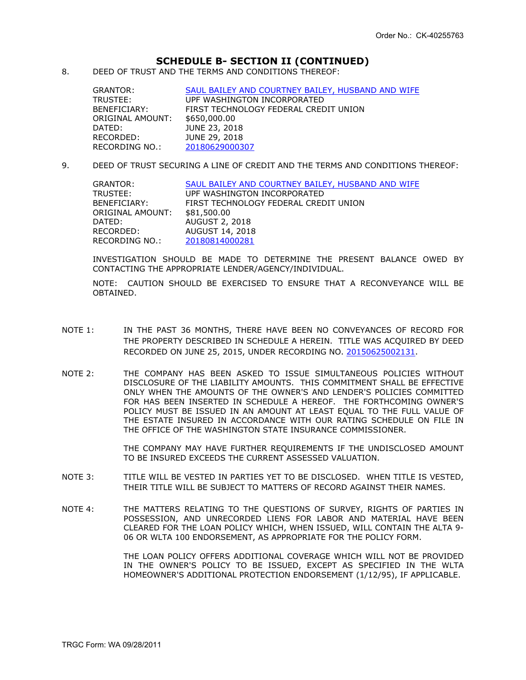B -?  $\geq$ - - % # (. # '- # \$ # (& '- + % '- \* # \* % ' # \$ ( %  $\mathbf 0$ 

 $\sqrt{8}$   $\sqrt{2}$   $\sqrt{2}$  $\mathbf{u}^{(i)} = \mathbf{v} \star \mathbf{u}^{(i)}$  $\cdot$   $-$  + %  $($  #  $^{\circ}$   $,$   $-$  \*  $^{\circ}$  $H()$  # % (  $\frac{1}{\sqrt{2}}$   $\frac{1}{\sqrt{2}}$   $\frac{1}{\sqrt{2}}$   $\frac{1}{\sqrt{2}}$   $\frac{1}{\sqrt{2}}$   $\frac{1}{\sqrt{2}}$   $\frac{1}{\sqrt{2}}$   $\frac{1}{\sqrt{2}}$   $\frac{1}{\sqrt{2}}$   $\frac{1}{\sqrt{2}}$   $\frac{1}{\sqrt{2}}$   $\frac{1}{\sqrt{2}}$   $\frac{1}{\sqrt{2}}$   $\frac{1}{\sqrt{2}}$   $\frac{1}{\sqrt{2}}$   $\frac{1}{\sqrt{2}}$   $\frac{1}{\sqrt{2}}$  # $($  . #  $\begin{array}{ccc} \cdot & \cdot & \cdot \\ \cdot & \cdot & \cdot \\ \cdot & \cdot & \cdot \end{array}$   $( , )$ \* (# # + \$'%"% H, - (  $\frac{4}{5}$  (  $\frac{4}{5}$  +  $\frac{4}{5}$  +  $\frac{4}{5}$  +  $\frac{4}{5}$  +  $\frac{4}{5}$  +  $\frac{4}{5}$  +  $\frac{4}{5}$  +  $\frac{4}{5}$  +  $\frac{4}{5}$  +  $\frac{4}{5}$  +  $\frac{4}{5}$  +  $\frac{4}{5}$  +  $\frac{4}{5}$  +  $\frac{4}{5}$  +  $\frac{4}{5}$  +  $\frac{4}{5$  $\overline{1}$ % ( \* H \* ' " & % . ' #  $\overline{0}$  $G$ .'  $-$  #  $\mathsf{G}$  .  $^{\prime}$  $(+\% (- ( +\% (-*) H \cdot \% 0$  $\overline{\mathbf{2}}$ 

- - % #(. # +.(\*'H "\*' % +( -\*# '- #\$ # (& '- +%'-\*#\*%' #\$ ( %  $\mathbf 0$ 

 $\frac{1}{2}$   $\frac{1}{2}$   $\frac{1}{2}$   $\frac{1}{2}$   $\frac{1}{2}$   $\frac{1}{2}$   $\frac{1}{2}$   $\frac{1}{2}$   $\frac{1}{2}$   $\frac{1}{2}$   $\frac{1}{2}$   $\frac{1}{2}$   $\frac{1}{2}$   $\frac{1}{2}$   $\frac{1}{2}$   $\frac{1}{2}$   $\frac{1}{2}$   $\frac{1}{2}$   $\frac{1}{2}$   $\frac{1}{2}$   $\frac{1}{2}$   $\frac{1}{2}$   $H($  '#% ( # $($ . #  $\frac{1}{\%}$  \* + \* (,<br>% ( \* H \* ' " ) \* (# # + \$'%"% H, - (+ (-\* # .'\*%')  $8\%$   $\cdot$  #  $\cdot$  0  $-$  #  $.H.$ #  $( +\% ( - .H.$ #  $( +\% ( -^* 'H '% 0$ 

\*'> # \* H # \* % ' \$ % . " - 8 - # % - # (8 \* ' # \$ ( '# " '+ % - ,  $+$  %'# +#\*'H #\$ (% (\* # '- (C H '+, C \*'- \* > \*-. "0

 $1\%$ # + .#\*%' \$%."- 1 (+\* -#% '.( #\$ # (+%'>, '+ \*""<br>% # \*' -0

- $'$ %#
- $J #\% *$  . \*&."# '%. %"\*+\* \*#\$%.#  $'$ %#  $\#$  \$ + % & ', \$ -\* +"% .( % #\$ "\* \*"\*#,&%.'# 0 #\$\* +%&&\*#& '#\$ "" +#\*>

#\$ +%& ', & , \$ > (#\$ ( ( F. \* ( & '# \* #\$ .'-\* + "% - &%.'# # % \* ( - 1 + - # \$ + ( ( '#  $-$  > ".  $\#$  \* % '0

- $'$ %# # \* # " \* " " > # - \* ' (# \* , # # % - \* + " % - 0 \$ ' # \* # " \* > # -#\$ \*( # \* # " " . G + # # % & # # (( +9% (- H \* ' # # \$ \*( & 0
- $'$ %# % (  $"#$  $\%$  (  $\&$   $\#$

#\$ "% ' %"\*+,% ( --\*#\*%' "+%> ( H \$\*+\$ \*"" '%# (%>\*- -\*\*\* #\$ % '() % \*\*\*,#% \*\* .- 1+ # \*\*\*-\*' #\$ "#<br>\$%& % '() --\*#\*%' " (%# +#\*%' '-%( & '#C C \* "\*+ "0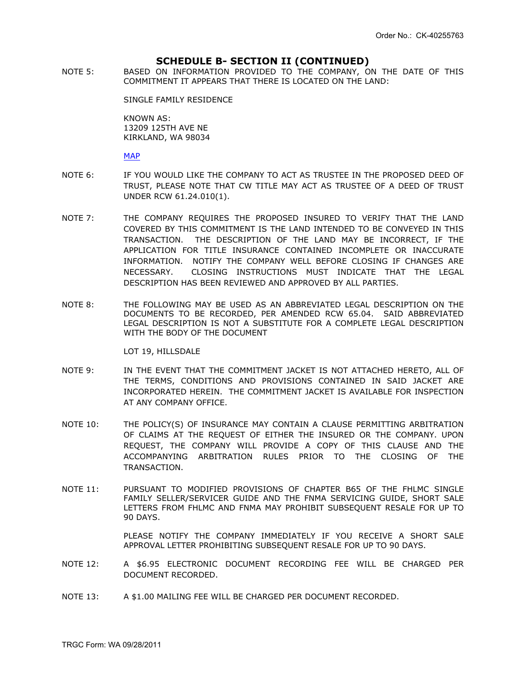B.

 $\overline{\mathcal{E}}$ - %' \*' %(& # \* %' (% > \* - - # % # \$ + % & ', %' # \$ - # % # \$ \*  $+$  % & & \* # &  $'$  # \* # (  $\#$  \$ # # \$ ( \* "% + # - %' # \$ "'-

 $\rightarrow$ 

\*'H"  $8$ \*", ( \*- '+  $J'$  %  $'$  $# $ > '$  $J^* (J^*')$ 

 $8$ 

- \* , %. %. "- "\*J #\$ + %& ', # % + # #(. # \*' #\$ (% % -- %  $\frac{9}{6}$ # # (. # " '% # # \$ # + # \* # " & , + # # (. # % - - % # (. #  $\cdot$   $\cdot$  ( ( + 0 0 0 0
- #\$ +%& ', (F.\*( #\$ (%% \*' .( #% > (\*, #\$ # #\$ "'- $96#2$  $+$ % > ( - , #\$\* +% & & \*# & '# #\$ " '- \*'# '- - #% +% '> , - \*' #\$\* #( ' +#\*%'0 #\$ - +(\* #\*%'% #\$ " '- &, \*'+%(( +# \* #\$ "\*+ #\*%' %( #\*#" \*' .( '+ +%'# \*' - \*'+%& " # %( \*' ++.( # \*' % (& # \* % '0 '% # \*, #\$ + % & ', " " % ( + "% \* 'H \* + \$ 'H ( ' + (,0 + "% \*' H \*' # (. + # \*%' & . # \*' - \* + # # \$ # # \$ " H " - +(\* #\*%' \$ '( >\* - '- (% > - , "" (#\* 0
- $96#$ \*#\$ #\$ %-% #\$ -%+.& '#

 $"$ %# \$\*"" - "

- $\frac{9}{6}$  # \*' #\$ > '# #\$ ##\$ +%&&\*#& '#& +J #' '%# ## +\$ - \$ ( #% "" % #\$ # (& +%'-\*#\*%' '- (%>\* \*%' +%'# \*' - \*' \*- G +J # ( \*'+%(%(# -\$ (\*'0 #\$ +%&&\*#& '\$ +J #' > \*" "%(\*' +#\*%' # ', +%& ', % \* + 0
- $96#$ #\$ %"\*+, % \*' .( '+ &, +%'# \*' +" . (&\*##\*'H( \*#( #\*%' % + " \* & # # \$ ( F. # % \* # \$ ( # \$ \* ' . ( - % ( # \$ + % & ', 0 . % '  $(F. # #$ +% &'.$  "  $(% >^* - 4% , % #$^* +".$  '- #\$  $+$  + % & ', \*' H ( \* # ( # \* %' (. " ( \* % ( # % + \$ + " % \*' H % # \$ # (  $'$  + # \* % ' 0
- $'$  % #  $-$ , 0
	- "  $\frac{1}{2}$  "  $\frac{1}{2}$  "  $\frac{1}{2}$  "  $\frac{1}{2}$  "  $\frac{1}{2}$  "  $\frac{1}{2}$  "  $\frac{1}{2}$  "  $\frac{1}{2}$  "  $\frac{1}{2}$  "  $\frac{1}{2}$  "  $\frac{1}{2}$  "  $\frac{1}{2}$  "  $\frac{1}{2}$  "  $\frac{1}{2}$  "  $\frac{1}{2}$  "  $\frac{1}{2}$  "  $\frac{1}{2}$  "  $\frac{1}{2}$  "  $\frac$
- $'$ %# / 0 " +#(%'\*+ -%+.& '# ( +%(-\*'H \*"" +\$ (H - (  $-$  % + . &  $'$  # ( + % ( - - 0
- / 0 & \* " \* " " + \$ (H ( % + . & '# ( + % (- -0  $\frac{9}{6}$ #

 $' \%#$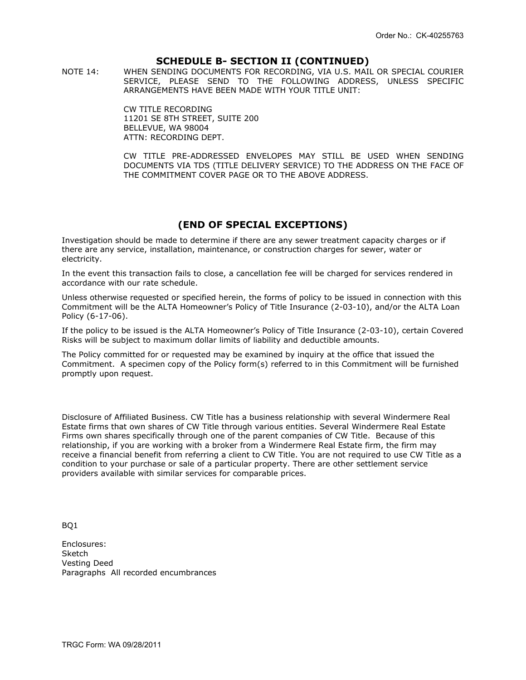# **SCHEDULE B- SECTION II (CONTINUED)**

NOTE 14: WHEN SENDING DOCUMENTS FOR RECORDING, VIA U.S. MAIL OR SPECIAL COURIER SERVICE, PLEASE SEND TO THE FOLLOWING ADDRESS, UNLESS SPECIFIC ARRANGEMENTS HAVE BEEN MADE WITH YOUR TITLE UNIT:

> CW TITLE RECORDING 11201 SE 8TH STREET, SUITE 200 BELLEVUE, WA 98004 ATTN: RECORDING DEPT.

CW TITLE PRE-ADDRESSED ENVELOPES MAY STILL BE USED WHEN SENDING DOCUMENTS VIA TDS (TITLE DELIVERY SERVICE) TO THE ADDRESS ON THE FACE OF THE COMMITMENT COVER PAGE OR TO THE ABOVE ADDRESS.

# **(END OF SPECIAL EXCEPTIONS)**

Investigation should be made to determine if there are any sewer treatment capacity charges or if there are any service, installation, maintenance, or construction charges for sewer, water or electricity.

In the event this transaction fails to close, a cancellation fee will be charged for services rendered in accordance with our rate schedule.

Unless otherwise requested or specified herein, the forms of policy to be issued in connection with this Commitment will be the ALTA Homeowner's Policy of Title Insurance (2-03-10), and/or the ALTA Loan Policy (6-17-06).

If the policy to be issued is the ALTA Homeowner's Policy of Title Insurance (2-03-10), certain Covered Risks will be subject to maximum dollar limits of liability and deductible amounts.

The Policy committed for or requested may be examined by inquiry at the office that issued the Commitment. A specimen copy of the Policy form(s) referred to in this Commitment will be furnished promptly upon request.

Disclosure of Affiliated Business. CW Title has a business relationship with several Windermere Real Estate firms that own shares of CW Title through various entities. Several Windermere Real Estate Firms own shares specifically through one of the parent companies of CW Title. Because of this relationship, if you are working with a broker from a Windermere Real Estate firm, the firm may receive a financial benefit from referring a client to CW Title. You are not required to use CW Title as a condition to your purchase or sale of a particular property. There are other settlement service providers available with similar services for comparable prices.

BQ1

Enclosures: **Sketch** Vesting Deed Paragraphs All recorded encumbrances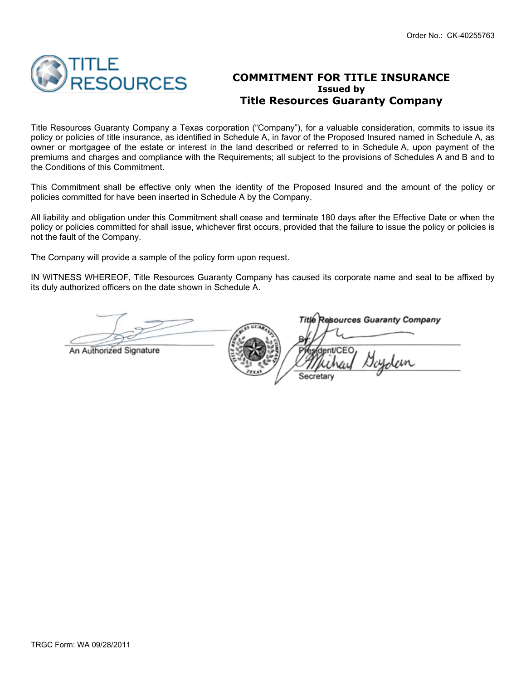

# **COMMITMENT FOR TITLE INSURANCE Issued by Title Resources Guaranty Company**

Title Resources Guaranty Company a Texas corporation ("Company"), for a valuable consideration, commits to issue its policy or policies of title insurance, as identified in Schedule A, in favor of the Proposed Insured named in Schedule A, as owner or mortgagee of the estate or interest in the land described or referred to in Schedule A, upon payment of the premiums and charges and compliance with the Requirements; all subject to the provisions of Schedules A and B and to the Conditions of this Commitment.

This Commitment shall be effective only when the identity of the Proposed Insured and the amount of the policy or policies committed for have been inserted in Schedule A by the Company.

All liability and obligation under this Commitment shall cease and terminate 180 days after the Effective Date or when the policy or policies committed for shall issue, whichever first occurs, provided that the failure to issue the policy or policies is not the fault of the Company.

The Company will provide a sample of the policy form upon request.

IN WITNESS WHEREOF, Title Resources Guaranty Company has caused its corporate name and seal to be affixed by its duly authorized officers on the date shown in Schedule A.

Resources Guaranty Company Titlé An Authorized Signature Secretary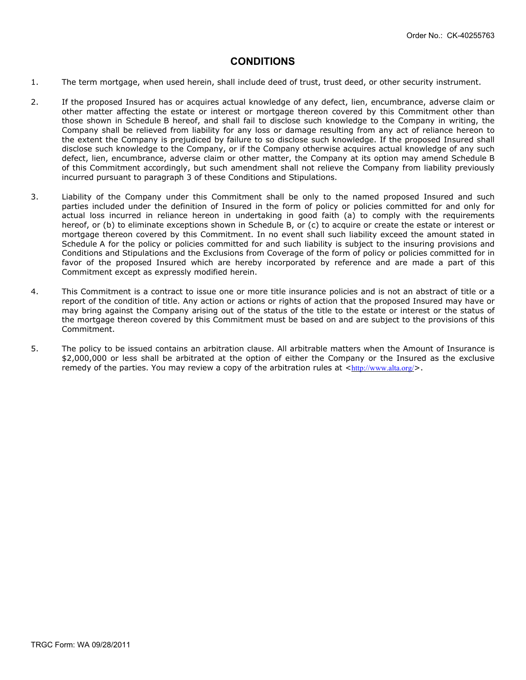6; 44 4 9 5 6 5 6 4 4 5  $\Omega$ # 5A A 5 ? ? 8 6 4 5 5 66 :55A 3 0

- $\overline{0}$ + AB 36 7 5 495 A 7 935 3 6654 A ? 5 6 975 A 3; 95 ; 5  $\pm$  AB 36B5 E 4 ;7489 5 6 4 6; 66 ; D 8 4? 09 B5 B 6 4 6 5 46 4 6; 66 ; D 8 4? + AB 3 5 9 + AB 3 5 8 6 ; @ 5 6 0 8 4? 9 3 6 ;<br>4 9 ; A75 ; 4 56 ; A5 5 A 5 + AB 3 6 B A 3 A 4 ; 4<br>9 6 + AA A ; ; 54 ? 3 6 ; A 4A 6 5 + AB 3 95 A 7 B 3 6<br>55 & 56 B 5 ? 5 B 9 6 + 4 6 4 B 60 6 3
- $\begin{array}{cccccccccccccccc} \texttt{''} & 7 & 39 & + AB & 3 & 4 & 5 & 6 + AA & A & 6 & 7 & 3 & A & 4 & B5 & B & 6 & 4 & 6 & 5 & 4 & 4 & 6 \\ B & 5 & 6 & 7 & 4 & 4 & 4 & 5 & 4 & 9 & 9 & * & 6 & 5 & 4 & 9 & 5 & A & 9B & 3 & 5 & B & 5 & 6 & A & 4 & 9 & 5 & 4 & 3 & 9 & 5 \\ \texttt{''} & 6 & 6 & 7 & 5 & 5 & 4 & 9 & 9 & * & 6 & 5 & 4 & 9 &$  $\mathbf 0$ 00, 00 4 0<br>
5 9 5 7<br>
A 1; B 66 8 ; 4<br>
5 9 5 7<br>
A 1; B 66 8 ; 4<br>
5 9 5 7<br>
A 1; B 66 8 ; 4<br>
5 9 5 7<br>
B 6 8 ; 4<br>
6 6 ; 7<br>
B 6 7<br>
3 4<br>
4 6 4<br>
4 6 4<br>
4 6 4<br>
5 8 5 35 B ; 5 6 A 4<br>
5 4 5 ; 9<br>
5 9 5 8 5 6 5<br>
6 5<br>
6 5<br>
6 6 4<br>
4 6 4
- # 6+ AA A 6 ; 5 ; 66 5A 5 65 ; B ; 64 6 76 5 ; 9 5<br>5 B 5 9 ; 4 9 03 ; 5 ; 655 ? 69 ; B 5 B 6 \*4 6 5 4 3 5<br>A 3 75 ?? 6 + AB 3 5 6 ? 9 6 69 69 6 5 5 6 5 6 6 9  $\mathbf 0$ A 5 ? ? 5 ; 5 473 6+ AA A A 6 7 7 6 4 4 5 6 7E ; B5 6 0 6  $+ AA A 0$
- # B ;3 7 66 4 6 57 5 ; 6 0 57 5 7A 568 A 9 \* 6 5 ; 6<br>
/ 5 666 7 57 5 4 B 9 5 + AB 3 5 \* 6 5 46 !; 6<br>
5 A 43 9 B 5 60, A 3 5 8 9, B 3 57 5 5 L6 M 0 A 9 \* 6 5 ; 6  $\mathbf 0$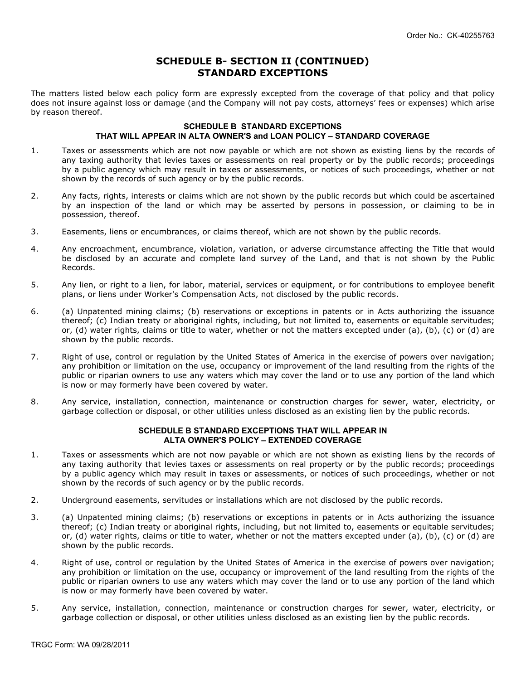# **SCHEDULE B- SECTION II (CONTINUED) STANDARD EXCEPTIONS**

The matters listed below each policy form are expressly excepted from the coverage of that policy and that policy does not insure against loss or damage (and the Company will not pay costs, attorneys' fees or expenses) which arise by reason thereof.

### **SCHEDULE B STANDARD EXCEPTIONS THAT WILL APPEAR IN ALTA OWNER'S and LOAN POLICY – STANDARD COVERAGE**

- 1. Taxes or assessments which are not now payable or which are not shown as existing liens by the records of any taxing authority that levies taxes or assessments on real property or by the public records; proceedings by a public agency which may result in taxes or assessments, or notices of such proceedings, whether or not shown by the records of such agency or by the public records.
- 2. Any facts, rights, interests or claims which are not shown by the public records but which could be ascertained by an inspection of the land or which may be asserted by persons in possession, or claiming to be in possession, thereof.
- 3. Easements, liens or encumbrances, or claims thereof, which are not shown by the public records.
- 4. Any encroachment, encumbrance, violation, variation, or adverse circumstance affecting the Title that would be disclosed by an accurate and complete land survey of the Land, and that is not shown by the Public Records.
- 5. Any lien, or right to a lien, for labor, material, services or equipment, or for contributions to employee benefit plans, or liens under Worker's Compensation Acts, not disclosed by the public records.
- 6. (a) Unpatented mining claims; (b) reservations or exceptions in patents or in Acts authorizing the issuance thereof; (c) Indian treaty or aboriginal rights, including, but not limited to, easements or equitable servitudes; or, (d) water rights, claims or title to water, whether or not the matters excepted under (a), (b), (c) or (d) are shown by the public records.
- 7. Right of use, control or regulation by the United States of America in the exercise of powers over navigation; any prohibition or limitation on the use, occupancy or improvement of the land resulting from the rights of the public or riparian owners to use any waters which may cover the land or to use any portion of the land which is now or may formerly have been covered by water.
- 8. Any service, installation, connection, maintenance or construction charges for sewer, water, electricity, or garbage collection or disposal, or other utilities unless disclosed as an existing lien by the public records.

#### **SCHEDULE B STANDARD EXCEPTIONS THAT WILL APPEAR IN ALTA OWNER'S POLICY – EXTENDED COVERAGE**

- 1. Taxes or assessments which are not now payable or which are not shown as existing liens by the records of any taxing authority that levies taxes or assessments on real property or by the public records; proceedings by a public agency which may result in taxes or assessments, or notices of such proceedings, whether or not shown by the records of such agency or by the public records.
- 2. Underground easements, servitudes or installations which are not disclosed by the public records.
- 3. (a) Unpatented mining claims; (b) reservations or exceptions in patents or in Acts authorizing the issuance thereof; (c) Indian treaty or aboriginal rights, including, but not limited to, easements or equitable servitudes; or, (d) water rights, claims or title to water, whether or not the matters excepted under (a), (b), (c) or (d) are shown by the public records.
- 4. Right of use, control or regulation by the United States of America in the exercise of powers over navigation; any prohibition or limitation on the use, occupancy or improvement of the land resulting from the rights of the public or riparian owners to use any waters which may cover the land or to use any portion of the land which is now or may formerly have been covered by water.
- 5. Any service, installation, connection, maintenance or construction charges for sewer, water, electricity, or garbage collection or disposal, or other utilities unless disclosed as an existing lien by the public records.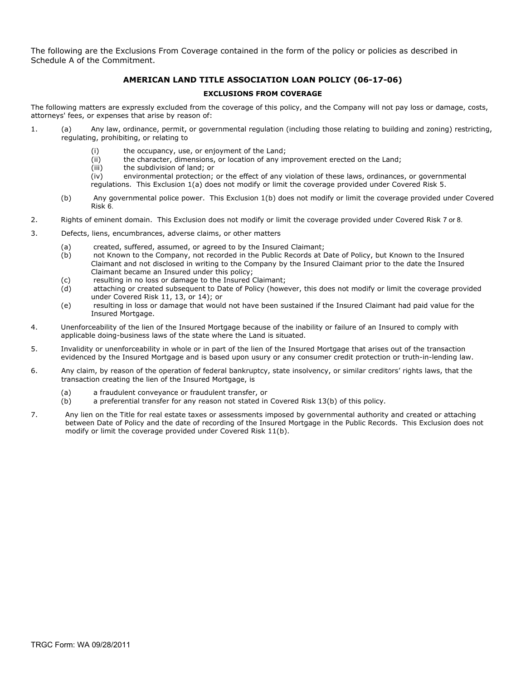The following are the Exclusions From Coverage contained in the form of the policy or policies as described in Schedule A of the Commitment.

### **AMERICAN LAND TITLE ASSOCIATION LOAN POLICY (06-17-06)**

### **EXCLUSIONS FROM COVERAGE**

The following matters are expressly excluded from the coverage of this policy, and the Company will not pay loss or damage, costs, attorneys' fees, or expenses that arise by reason of:

- 1. (a) Any law, ordinance, permit, or governmental regulation (including those relating to building and zoning) restricting, regulating, prohibiting, or relating to
	- (i) the occupancy, use, or enjoyment of the Land;
	- (ii) the character, dimensions, or location of any improvement erected on the Land;
	- (iii) the subdivision of land; or
	- (iv) environmental protection; or the effect of any violation of these laws, ordinances, or governmental regulations. This Exclusion 1(a) does not modify or limit the coverage provided under Covered Risk 5.
	- (b) Any governmental police power. This Exclusion 1(b) does not modify or limit the coverage provided under Covered Risk 6.
- 2. Rights of eminent domain. This Exclusion does not modify or limit the coverage provided under Covered Risk 7 or 8.
- 3. Defects, liens, encumbrances, adverse claims, or other matters
	- (a) created, suffered, assumed, or agreed to by the Insured Claimant;
	- (b) not Known to the Company, not recorded in the Public Records at Date of Policy, but Known to the Insured Claimant and not disclosed in writing to the Company by the Insured Claimant prior to the date the Insured Claimant became an Insured under this policy;
	-
	- (c) resulting in no loss or damage to the Insured Claimant;<br>(d) attaching or created subsequent to Date of Policy (howe attaching or created subsequent to Date of Policy (however, this does not modify or limit the coverage provided under Covered Risk 11, 13, or 14); or
	- (e) resulting in loss or damage that would not have been sustained if the Insured Claimant had paid value for the Insured Mortgage.
- 4. Unenforceability of the lien of the Insured Mortgage because of the inability or failure of an Insured to comply with applicable doing-business laws of the state where the Land is situated.
- 5. Invalidity or unenforceability in whole or in part of the lien of the Insured Mortgage that arises out of the transaction evidenced by the Insured Mortgage and is based upon usury or any consumer credit protection or truth-in-lending law.
- 6. Any claim, by reason of the operation of federal bankruptcy, state insolvency, or similar creditors' rights laws, that the transaction creating the lien of the Insured Mortgage, is
	- (a) a fraudulent conveyance or fraudulent transfer, or
	- (b) a preferential transfer for any reason not stated in Covered Risk 13(b) of this policy.
- 7. Any lien on the Title for real estate taxes or assessments imposed by governmental authority and created or attaching between Date of Policy and the date of recording of the Insured Mortgage in the Public Records. This Exclusion does not modify or limit the coverage provided under Covered Risk 11(b).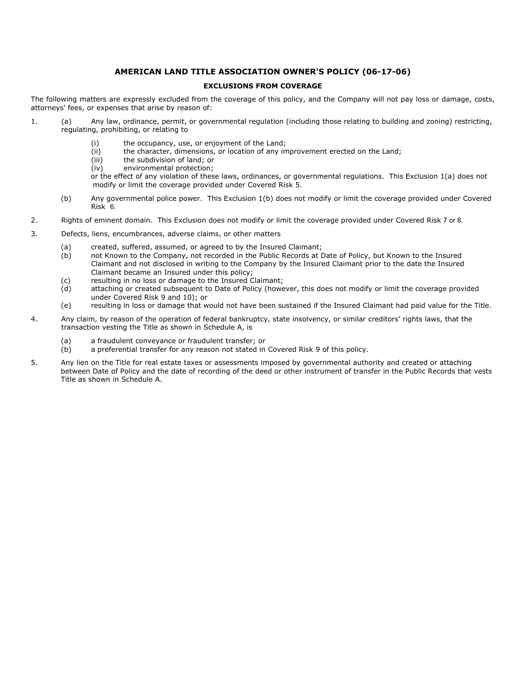### **AMERICAN LAND TITLE ASSOCIATION OWNER'S POLICY (06-17-06)**

### **EXCLUSIONS FROM COVERAGE**

The following matters are expressly excluded from the coverage of this policy, and the Company will not pay loss or damage, costs, attorneys' fees, or expenses that arise by reason of:

- 1. (a) Any law, ordinance, permit, or governmental regulation (including those relating to building and zoning) restricting, regulating, prohibiting, or relating to
	- (i) the occupancy, use, or enjoyment of the Land;
	- (ii) the character, dimensions, or location of any improvement erected on the Land;
	- (iii) the subdivision of land; or
	- (iv) environmental protection;

or the effect of any violation of these laws, ordinances, or governmental regulations. This Exclusion 1(a) does not modify or limit the coverage provided under Covered Risk 5.

- (b) Any governmental police power. This Exclusion 1(b) does not modify or limit the coverage provided under Covered Risk 6.
- 2. Rights of eminent domain. This Exclusion does not modify or limit the coverage provided under Covered Risk 7 or 8.
- 3. Defects, liens, encumbrances, adverse claims, or other matters
	- (a) created, suffered, assumed, or agreed to by the Insured Claimant;
	- (b) not Known to the Company, not recorded in the Public Records at Date of Policy, but Known to the Insured Claimant and not disclosed in writing to the Company by the Insured Claimant prior to the date the Insured Claimant became an Insured under this policy;
	- (c) resulting in no loss or damage to the Insured Claimant;<br>(d) attaching or created subsequent to Date of Policy (howe
	- attaching or created subsequent to Date of Policy (however, this does not modify or limit the coverage provided under Covered Risk 9 and 10); or
	- (e) resulting in loss or damage that would not have been sustained if the Insured Claimant had paid value for the Title.
- 4. Any claim, by reason of the operation of federal bankruptcy, state insolvency, or similar creditors' rights laws, that the transaction vesting the Title as shown in Schedule A, is
	- (a) a fraudulent conveyance or fraudulent transfer; or (b) a preferential transfer for any reason not stated in
	- a preferential transfer for any reason not stated in Covered Risk 9 of this policy.
- 5. Any lien on the Title for real estate taxes or assessments imposed by governmental authority and created or attaching between Date of Policy and the date of recording of the deed or other instrument of transfer in the Public Records that vests Title as shown in Schedule A.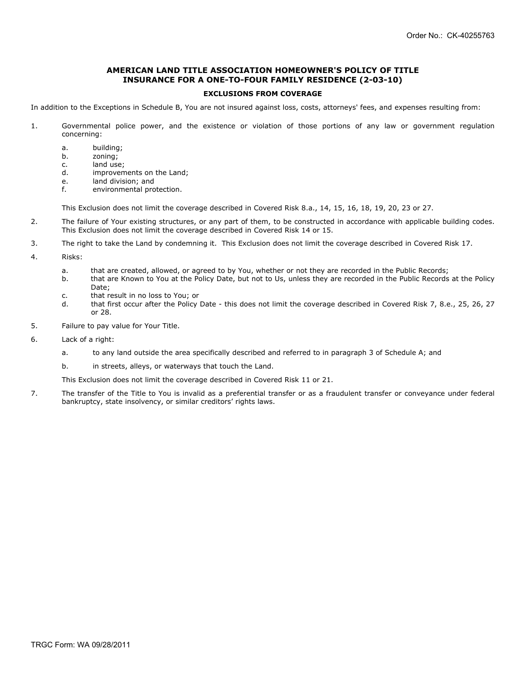#### **AMERICAN LAND TITLE ASSOCIATION HOMEOWNER'S POLICY OF TITLE INSURANCE FOR A ONE-TO-FOUR FAMILY RESIDENCE (2-03-10)**

#### **EXCLUSIONS FROM COVERAGE**

In addition to the Exceptions in Schedule B, You are not insured against loss, costs, attorneys' fees, and expenses resulting from:

- 1. Governmental police power, and the existence or violation of those portions of any law or government regulation concerning:
	- a. building;
	- b. zoning;
	- c. land use;
	- d. improvements on the Land;
	- e. land division; and
	- f. environmental protection.

This Exclusion does not limit the coverage described in Covered Risk 8.a., 14, 15, 16, 18, 19, 20, 23 or 27.

- 2. The failure of Your existing structures, or any part of them, to be constructed in accordance with applicable building codes. This Exclusion does not limit the coverage described in Covered Risk 14 or 15.
- 3. The right to take the Land by condemning it. This Exclusion does not limit the coverage described in Covered Risk 17.
- 4. Risks:
	- a. that are created, allowed, or agreed to by You, whether or not they are recorded in the Public Records;
	- b. that are Known to You at the Policy Date, but not to Us, unless they are recorded in the Public Records at the Policy Date;
	- c. that result in no loss to You; or
	- d. that first occur after the Policy Date this does not limit the coverage described in Covered Risk 7, 8.e., 25, 26, 27 or 28.
- 5. Failure to pay value for Your Title.
- 6. Lack of a right:
	- a. to any land outside the area specifically described and referred to in paragraph 3 of Schedule A; and
	- b. in streets, alleys, or waterways that touch the Land.
	- This Exclusion does not limit the coverage described in Covered Risk 11 or 21.
- 7. The transfer of the Title to You is invalid as a preferential transfer or as a fraudulent transfer or conveyance under federal bankruptcy, state insolvency, or similar creditors' rights laws.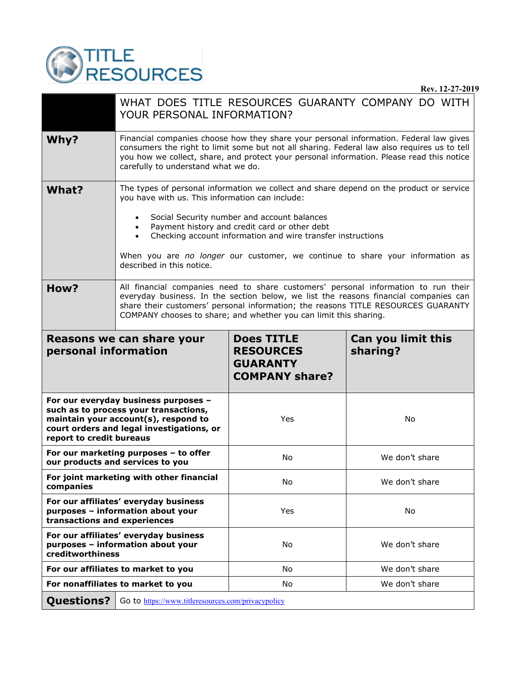|                          | $$$ # -% # * # " ( %. ( + H. ( '#, +%& ', -% * #\$<br>, %. ( ( %' " *' % ( & # * % ' O                                                                                                                                     |                                                                             |                                                                                                                             |  |
|--------------------------|----------------------------------------------------------------------------------------------------------------------------------------------------------------------------------------------------------------------------|-----------------------------------------------------------------------------|-----------------------------------------------------------------------------------------------------------------------------|--|
| $< 3$ D                  | ; 5 9 3 4 56 4 8 8 4 0                                                                                                                                                                                                     | ; 6 A 56 5 ? A 6 A 7 6 5 ?04 5 8 6 5 @ 5 6                                  | ; ; AB 6; 6 8 36 53 5B 56 9 5A 04 5 8?<br>6<br>3 88; ; 6 5 4 B 5 ; 3 5 B 5 6 9 5 A 0 6 5 4 6 ;                              |  |
| $<$ 3<br>D               | $3 \t 8 \t 60 \t 60 \t 95A \t ; \t ; 4$                                                                                                                                                                                    |                                                                             | # 3B 69B 56 9 5A 8 ; ; 46 5 4 B 4 B 5 4 ; 56 5 ;                                                                            |  |
|                          | ; 5 3 A7 5 4 ;; 7 ; 6<br>6 53 4 ;5 4 5 54 6 7<br>3 A<br>+ ;D ? ;; 9 5A 4 5 569 56 5 ; 6                                                                                                                                    |                                                                             |                                                                                                                             |  |
|                          | 3 5<br>4 6 : 5 7 4 6 ; 0                                                                                                                                                                                                   |                                                                             | 5; 6 A 5 8 ; 6 5 3 5 9 5 A 6                                                                                                |  |
| & 5 D                    |                                                                                                                                                                                                                            | 9 ; ; AB 6 4 6 5 ; 6 A 56K 56 9 5A<br>+%& ', ; 6 6 6 5 1 48 53 ; A 6 6 5 ?0 | 5 <sup>5</sup><br>534 37 6 66*0 6 ; 7 8 8 6 5 6 69 ; ; A B 6;<br>6 5 5; 6 A 56BK 56 9 5A 1 5 6 6# $*$ # " ( % ( + H ( ' # , |  |
| $4$ $8$ $ 8$ $8$ $6$ $8$ | $/8'/5$ $/3$ $/81$ $/8/$                                                                                                                                                                                                   |                                                                             | $\frac{1}{81}$ - % 3 /<br>$/3$ . $\cdot$ D                                                                                  |  |
|                          |                                                                                                                                                                                                                            | $/3$ . D                                                                    |                                                                                                                             |  |
| .48.8.201.1/             | & . & 1. . 2 01/ ' // 41.4&/ /@<br>$/1$ 3 $/$ & 4.& $/$ /& 1. $!/$ & $!/$ "<br>$\%$ ' ' & 1. & 1' > / ? " . / 4 & ' 2 &<br>$8.1. 8.2$ $/$ $2.2.$ $/$ $2.2.$ $/$ $1.8$ $/$ $8.$                                             | , 6                                                                         | <b>Contractor</b>                                                                                                           |  |
|                          | $8.81\% = 1.41.48 / 100 88$<br>8.1. 4.8.21 /2 / . / 8. 8.1                                                                                                                                                                 | and the co-                                                                 | 4 K 6 5                                                                                                                     |  |
| $8\%4$ /                 | $8. E8'$ % = 5: 38: 3.                                                                                                                                                                                                     |                                                                             | 4 K 6 5                                                                                                                     |  |
|                          | & . & 1 . - / F . 2 0 1 / ' / /<br>$\begin{array}{cccccccc} 4\,1\,. \, 4\,8\,/\quad/\quad @\quad &8\,. \,\% &8\quad &0\,8\,1 &8\,1\,. \\ .\quad \, /\quad &8\,'\,/\quad \, '2\quad G\,4\  \, . &\quad \  \  / \end{array}$ | , 6                                                                         | $\mathbf{E} = \mathbf{E}$                                                                                                   |  |
| . 2 58.3'                | & & 1. - / F . 2 01/ '//<br>41.4&//@ '&.% &' 0&1 &1.                                                                                                                                                                       | $\sim 10^{-1}$                                                              | 4 K 6 5                                                                                                                     |  |
|                          | $8.81. - 18% = 881$                                                                                                                                                                                                        | $\mathbf{L}$                                                                | 4 K 6 5                                                                                                                     |  |
|                          | $8. '8' - / 8 \% = 8 81$                                                                                                                                                                                                   | $\mathbf{L}$                                                                | 4 K 6 5                                                                                                                     |  |
| A1 / 8'/I H              |                                                                                                                                                                                                                            |                                                                             |                                                                                                                             |  |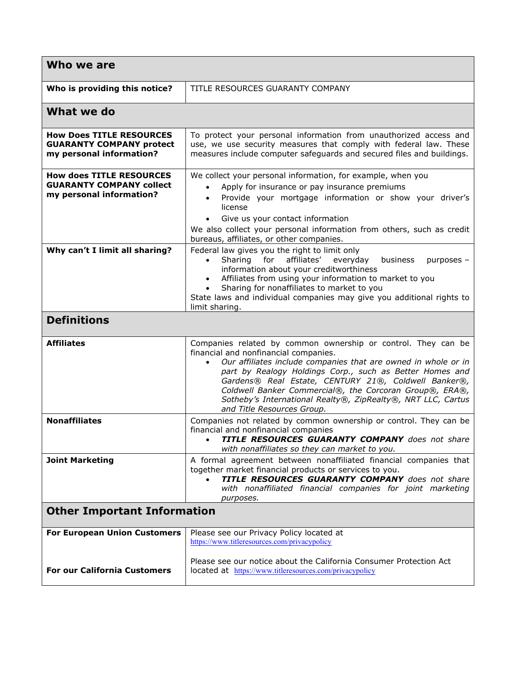| < 3 & 5<br><b>Contract Contract</b>                  |                                                                                                                                                                                                                                                          |  |  |  |
|------------------------------------------------------|----------------------------------------------------------------------------------------------------------------------------------------------------------------------------------------------------------------------------------------------------------|--|--|--|
| < 3 & 3 & 4 & 8 & 2' : 3 / 8                         | $\#$ * # " ( % ( + H ( '#, + % & ',                                                                                                                                                                                                                      |  |  |  |
| $< 3$ 5 2 &                                          |                                                                                                                                                                                                                                                          |  |  |  |
| & 5 & /<br>4.8<br>$% 4.18' - 8.% 8'D$                | # B5 ; 3 5 B 5 6 9 5 A 9 5 A 5 N 4 ; ; 6 6 4<br>66; 5306; 656; AB3894580# 6<br>6 8<br>A 6 5 6 ; 4 ; A B 5 6 9 ? 5 6 6; 5 44 9 6 7 4 ?                                                                                                                    |  |  |  |
| 85 28 /<br>$8 - -$<br>$% 4$ $/8$ - $% 8$ $/6$ $/8$ D | ; ; 3 5 B 56 9 5 A9 5 ! A B 8<br>3<br>BB 39 5 6 5 ; B 53 6 5 ; B 5 A A 6<br>4 3 5 A 5 ? ? 9 5 A 5 6 8 3 5 4 5<br>$5^{\circ}$<br>5 <sup>1</sup><br>6<br>H 6 3 5; ; 9 5 A<br>6; ; 3 5B 56 9 5A 95A 566; 6;54                                               |  |  |  |
| $'F - \% -/3$ . $':D$<br>< 3                         | 7 5 6 9 9<br><b>6</b> 5; AB 60<br>6 3 5 ?<br>4 5 8<br>3<br>$\mathsf{A}$<br>5 ? 9 5 99 6K 534 3 7 6 66 B 5 B 6 F6<br>9 5 A 7 3 5 ; 5 4 8 5 6 6<br>99 695 A 6 ? 3 5 9 5A<br>A 5D<br>5 ?9 5 99 A 5D 3<br>86 4 4 4 ; AB 6A 3 ? 3<br>44 5 ? 6<br>6 5 ? 0<br>A |  |  |  |
| $\frac{1}{8}$                                        |                                                                                                                                                                                                                                                          |  |  |  |
| $\prime$                                             | 65 473; AA 8 56 B5; 5 0#<br>+ AB<br>3;<br>$\overline{7}$<br>4 9 ; ; AB 60<br>9:                                                                                                                                                                          |  |  |  |
|                                                      | $!$ # \$ % &<br>$)$ *<br>$1$ , $\frac{1}{2}$ , $\frac{1}{2}$ , $\frac{1}{2}$<br>$\left($<br>$\pm$                                                                                                                                                        |  |  |  |
| & '<br>$\sqrt{ }$<br>$\sim 100$                      | 5 473; AA 8 56 B5;<br>+ AB<br>5 <b>@</b><br>3;<br>6<br>7<br>4<br>9<br>; ; A B<br>9:<br>6<br>$\mathbf{r}$                                                                                                                                                 |  |  |  |
| $H8$ $=$ $\pm$                                       | 9 5 A ? 5 A<br>78<br>99 94 ; ; AB<br>6<br>? 5A 5D 9 ; B 5 4 ; 6 5 6 5 ; 36 0<br>and the control of the                                                                                                                                                   |  |  |  |
| $3.$ %48. ' ' 8.% &'                                 |                                                                                                                                                                                                                                                          |  |  |  |
| $8. 1.84'$ $8'1/8%$ .                                | 6 6<br>$5 \t 5 \t ; 3 \t ; 3 \t ;$<br>4                                                                                                                                                                                                                  |  |  |  |
| 8. 8.1. - 8.' 1/8%./                                 | 6 6 5 ; 7 + 9 5 + 6 A 5 5 ;<br>$\frac{1}{2}$ 4                                                                                                                                                                                                           |  |  |  |